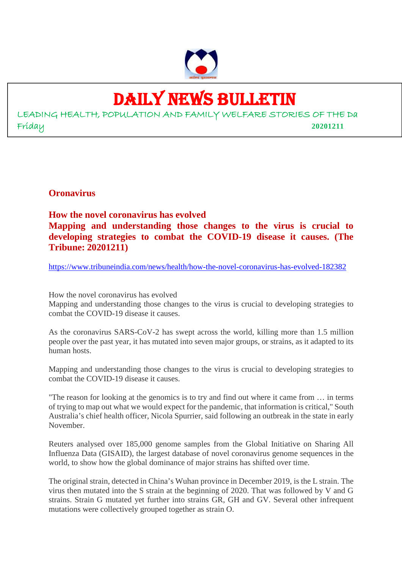

# DAILY NEWS BULLETIN

LEADING HEALTH, POPULATION AND FAMILY WELFARE STORIES OF THE Da Friday **20201211**

**Oronavirus**

**How the novel coronavirus has evolved Mapping and understanding those changes to the virus is crucial to developing strategies to combat the COVID-19 disease it causes. (The Tribune: 20201211)**

https://www.tribuneindia.com/news/health/how-the-novel-coronavirus-has-evolved-182382

How the novel coronavirus has evolved

Mapping and understanding those changes to the virus is crucial to developing strategies to combat the COVID-19 disease it causes.

As the coronavirus SARS-CoV-2 has swept across the world, killing more than 1.5 million people over the past year, it has mutated into seven major groups, or strains, as it adapted to its human hosts.

Mapping and understanding those changes to the virus is crucial to developing strategies to combat the COVID-19 disease it causes.

"The reason for looking at the genomics is to try and find out where it came from … in terms of trying to map out what we would expect for the pandemic, that information is critical," South Australia's chief health officer, Nicola Spurrier, said following an outbreak in the state in early November.

Reuters analysed over 185,000 genome samples from the Global Initiative on Sharing All Influenza Data (GISAID), the largest database of novel coronavirus genome sequences in the world, to show how the global dominance of major strains has shifted over time.

The original strain, detected in China's Wuhan province in December 2019, is the L strain. The virus then mutated into the S strain at the beginning of 2020. That was followed by V and G strains. Strain G mutated yet further into strains GR, GH and GV. Several other infrequent mutations were collectively grouped together as strain O.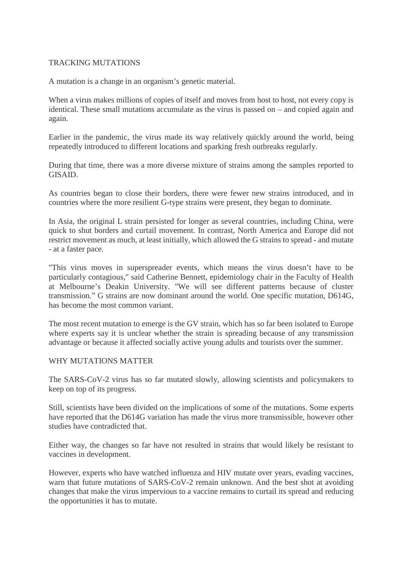#### TRACKING MUTATIONS

A mutation is a change in an organism's genetic material.

When a virus makes millions of copies of itself and moves from host to host, not every copy is identical. These small mutations accumulate as the virus is passed on – and copied again and again.

Earlier in the pandemic, the virus made its way relatively quickly around the world, being repeatedly introduced to different locations and sparking fresh outbreaks regularly.

During that time, there was a more diverse mixture of strains among the samples reported to GISAID.

As countries began to close their borders, there were fewer new strains introduced, and in countries where the more resilient G-type strains were present, they began to dominate.

In Asia, the original L strain persisted for longer as several countries, including China, were quick to shut borders and curtail movement. In contrast, North America and Europe did not restrict movement as much, at least initially, which allowed the G strains to spread - and mutate - at a faster pace.

"This virus moves in superspreader events, which means the virus doesn't have to be particularly contagious," said Catherine Bennett, epidemiology chair in the Faculty of Health at Melbourne's Deakin University. "We will see different patterns because of cluster transmission." G strains are now dominant around the world. One specific mutation, D614G, has become the most common variant.

The most recent mutation to emerge is the GV strain, which has so far been isolated to Europe where experts say it is unclear whether the strain is spreading because of any transmission advantage or because it affected socially active young adults and tourists over the summer.

#### WHY MUTATIONS MATTER

The SARS-CoV-2 virus has so far mutated slowly, allowing scientists and policymakers to keep on top of its progress.

Still, scientists have been divided on the implications of some of the mutations. Some experts have reported that the D614G variation has made the virus more transmissible, however other studies have contradicted that.

Either way, the changes so far have not resulted in strains that would likely be resistant to vaccines in development.

However, experts who have watched influenza and HIV mutate over years, evading vaccines, warn that future mutations of SARS-CoV-2 remain unknown. And the best shot at avoiding changes that make the virus impervious to a vaccine remains to curtail its spread and reducing the opportunities it has to mutate.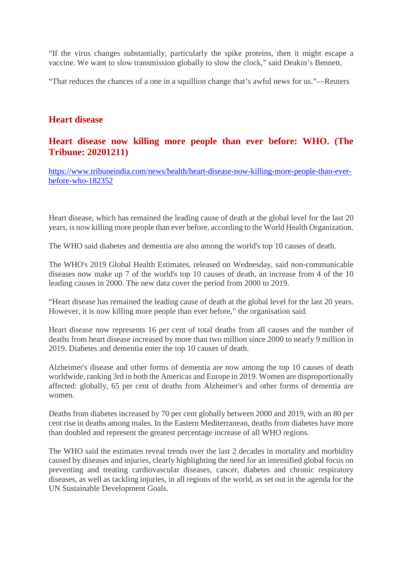"If the virus changes substantially, particularly the spike proteins, then it might escape a vaccine. We want to slow transmission globally to slow the clock," said Deakin's Bennett.

"That reduces the chances of a one in a squillion change that's awful news for us."—Reuters

#### **Heart disease**

#### **Heart disease now killing more people than ever before: WHO. (The Tribune: 20201211)**

https://www.tribuneindia.com/news/health/heart-disease-now-killing-more-people-than-everbefore-who-182352

Heart disease, which has remained the leading cause of death at the global level for the last 20 years, is now killing more people than ever before, according to the World Health Organization.

The WHO said diabetes and dementia are also among the world's top 10 causes of death.

The WHO's 2019 Global Health Estimates, released on Wednesday, said non-communicable diseases now make up 7 of the world's top 10 causes of death, an increase from 4 of the 10 leading causes in 2000. The new data cover the period from 2000 to 2019.

"Heart disease has remained the leading cause of death at the global level for the last 20 years. However, it is now killing more people than ever before," the organisation said.

Heart disease now represents 16 per cent of total deaths from all causes and the number of deaths from heart disease increased by more than two million since 2000 to nearly 9 million in 2019. Diabetes and dementia enter the top 10 causes of death.

Alzheimer's disease and other forms of dementia are now among the top 10 causes of death worldwide, ranking 3rd in both the Americas and Europe in 2019. Women are disproportionally affected: globally, 65 per cent of deaths from Alzheimer's and other forms of dementia are women.

Deaths from diabetes increased by 70 per cent globally between 2000 and 2019, with an 80 per cent rise in deaths among males. In the Eastern Mediterranean, deaths from diabetes have more than doubled and represent the greatest percentage increase of all WHO regions.

The WHO said the estimates reveal trends over the last 2 decades in mortality and morbidity caused by diseases and injuries, clearly highlighting the need for an intensified global focus on preventing and treating cardiovascular diseases, cancer, diabetes and chronic respiratory diseases, as well as tackling injuries, in all regions of the world, as set out in the agenda for the UN Sustainable Development Goals.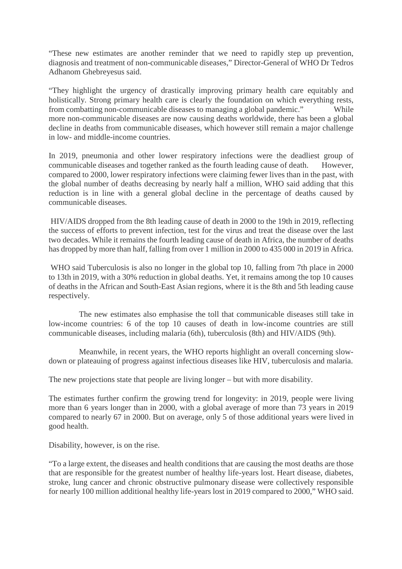"These new estimates are another reminder that we need to rapidly step up prevention, diagnosis and treatment of non-communicable diseases," Director-General of WHO Dr Tedros Adhanom Ghebreyesus said.

"They highlight the urgency of drastically improving primary health care equitably and holistically. Strong primary health care is clearly the foundation on which everything rests, from combatting non-communicable diseases to managing a global pandemic." While more non-communicable diseases are now causing deaths worldwide, there has been a global decline in deaths from communicable diseases, which however still remain a major challenge in low- and middle-income countries.

In 2019, pneumonia and other lower respiratory infections were the deadliest group of communicable diseases and together ranked as the fourth leading cause of death. However, compared to 2000, lower respiratory infections were claiming fewer lives than in the past, with the global number of deaths decreasing by nearly half a million, WHO said adding that this reduction is in line with a general global decline in the percentage of deaths caused by communicable diseases.

HIV/AIDS dropped from the 8th leading cause of death in 2000 to the 19th in 2019, reflecting the success of efforts to prevent infection, test for the virus and treat the disease over the last two decades. While it remains the fourth leading cause of death in Africa, the number of deaths has dropped by more than half, falling from over 1 million in 2000 to 435 000 in 2019 in Africa.

WHO said Tuberculosis is also no longer in the global top 10, falling from 7th place in 2000 to 13th in 2019, with a 30% reduction in global deaths. Yet, it remains among the top 10 causes of deaths in the African and South-East Asian regions, where it is the 8th and 5th leading cause respectively.

The new estimates also emphasise the toll that communicable diseases still take in low-income countries: 6 of the top 10 causes of death in low-income countries are still communicable diseases, including malaria (6th), tuberculosis (8th) and HIV/AIDS (9th).

Meanwhile, in recent years, the WHO reports highlight an overall concerning slowdown or plateauing of progress against infectious diseases like HIV, tuberculosis and malaria.

The new projections state that people are living longer – but with more disability.

The estimates further confirm the growing trend for longevity: in 2019, people were living more than 6 years longer than in 2000, with a global average of more than 73 years in 2019 compared to nearly 67 in 2000. But on average, only 5 of those additional years were lived in good health.

Disability, however, is on the rise.

"To a large extent, the diseases and health conditions that are causing the most deaths are those that are responsible for the greatest number of healthy life-years lost. Heart disease, diabetes, stroke, lung cancer and chronic obstructive pulmonary disease were collectively responsible for nearly 100 million additional healthy life-years lost in 2019 compared to 2000," WHO said.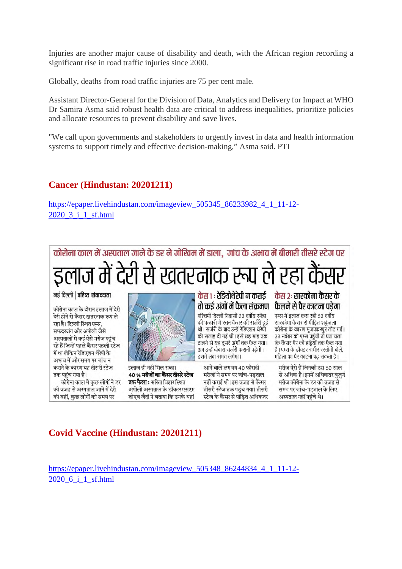Injuries are another major cause of disability and death, with the African region recording a significant rise in road traffic injuries since 2000.

Globally, deaths from road traffic injuries are 75 per cent male.

Assistant Director-General for the Division of Data, Analytics and Delivery for Impact at WHO Dr Samira Asma said robust health data are critical to address inequalities, prioritize policies and allocate resources to prevent disability and save lives.

"We call upon governments and stakeholders to urgently invest in data and health information systems to support timely and effective decision-making," Asma said. PTI

#### **Cancer (Hindustan: 20201211)**

https://epaper.livehindustan.com/imageview\_505345\_86233982\_4\_1\_11-12-2020\_3\_i\_1\_sf.html



#### **Covid Vaccine (Hindustan: 20201211)**

https://epaper.livehindustan.com/imageview\_505348\_86244834\_4\_1\_11-12- 2020\_6\_i\_1\_sf.html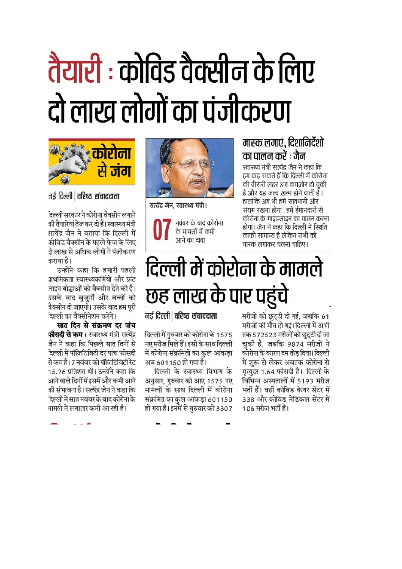# तैयारी : कोविड वैक्सीन के लिए दो लाख लोगों का पंजीकरण



जई दिल्ली | वरिष्ठ संवाददाता

देल्ली सरकार ने कोरोना वैक्सीन लगाने की तैयारियां तेज कर दी हैं। स्वास्थ्य मंत्री सत्येंद्र जैन ने बताया कि दिल्ली में कोविड वैक्सीन के पहले फेज के लिए डो लाख से अधिक लोगों ने पंजीकरण कराया है।

उन्होंने कहा कि हमारी पहली ग्रथमिकता स्वास्थ्यकर्मियों और फ्रंट लाइन योद्धाओं को वैक्सीन देने की है। उसके बाद बुजुर्गो और बच्चों को त्रैक्सीन दी जाएगी। उसके बाद हम पुरी देल्ली का वैक्सीनेशन करेंगे।

सात दिन से संक्रमण दर पांच **फीसदी से कम :** स्वास्थ्य मंत्री सत्येंद्र जैन ने कहा कि पिछले सात दिनों से देल्ली में पॉजिटिविटी दर पांच फीसदी से कम है। 7 नवंबर को पॉजिटिविटी रेट 15.26 प्रतिशत थी। उन्होंने कहा कि आने वाले दिनों में इसमें और कमी आने की संभावना है। सत्येंद्र जैन ने कहा कि देल्ली में सात नवंबर के बाद कोरोना के मामले में लगातार कमी आ रही है।



सत्येंद्र जैन, स्वास्थ्य मंत्री।

नवंबर के बाद कोरोना के मामलों में कमी आने का दावा

#### मास्क लगाएं, दिशानिर्देशों का पालन करें : जैन

स्वास्थ्य मंत्री सत्येंद्र जैन ने कहा कि हम कह सकते हैं कि दिल्ली में कोरोना की तीसरी लहर अब कमजोर हो चुकी है और यह जल्द खत्म होने वाली हैं। हालांकि अब भी हमें सावधानी और संयम रखना होगा। हमें ईमानदारी से कोरोना के गाइडलाइन का पालन करना होगा। जैन ने कहा कि दिल्ली में स्थिति काफी सामान्य है लेकिन सभी को मास्क लगाकर चलना चाहिए।

# दिल्ली में कोरोना के मामले छह लाख के पार पहुंचे

नई दिल्ली | वरिष्ट संवाददाता

दिल्ली में गुरुवार को कोरोना के 1575 नए मरीज मिले हैं। इसी के साथ दिल्ली में कोरोना संक्रमितों का कुल आंकड़ा अब 601150 हो गया है।

दिल्ली के स्वास्थ्य विभाग के अनुसार, गुरुवार को आए 1575 नए मामलों के साथ दिल्ली में कोरोना संक्रमित का कुल आंकड़ा 601150 हो गया है। इनमें से गुरुवार को 3307

मरीजों को छुट्टी दी गई, जबकि 61 मरीजों की मौत हो गई। दिल्ली में अभी तक 572523 मरीजों को छुट्टी दी जा चुकी है, जबकि 9874 मरीजों ने कोरोना के कारण दम तोड़ दिया। दिल्ली में शुरू से लेकर अबतक कोरोना से मृत्युदर 1.64 फीसदी है। दिल्ली के विभिन्न अस्पतालों में 5193 मरीज भर्ती हैं। वहीं कोविड केयर सेंटर में 338 और कोविड मेडिकल सेंटर में 106 मरीज भर्ती हैं।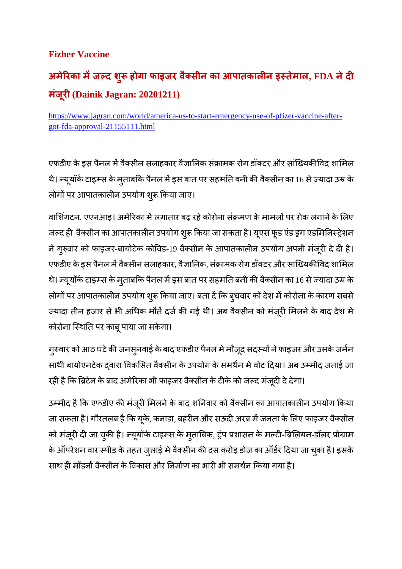#### **Fizher Vaccine**

## **अमेरका मजद शु होगा फाइजर वै सीन का आपातकालन इतेमाल, FDA नेद मंज ूर(Dainik Jagran: 20201211)**

https://www.jagran.com/world/america-us-to-start-emergency-use-of-pfizer-vaccine-aftergot-fda-approval-21155111.html

एफडीए के इस पैनल में वैक्सीन सलाहकार वैज्ञानिक संक्रामक रोग डॉक्टर और सांख्यिकीविद शामिल थे। न्यूयॉर्क टाइम्स के मुताबकि पैनल में इस बात पर सहमति बनी की वैक्सीन का 16 से ज्यादा उम्र के लोगों पर आपातकालीन उपयोग शुरू किया जाए।

वाशिंगटन, एएनआइ। अमेरिका में लगातार बढ़ रहे कोरोना संक्रमण के मामलों पर रोक लगाने के लिए जल्द ही वैक्सीन का आपातकालीन उपयोग शुरू किया जा सकता है। यूएस फूड एंड ड्रग एडमिनिस्ट्रेशन ने गुरुवार को फाइजर-बायोटेक कोविड-19 वैक्सीन के आपातकालीन उपयोग अपनी मंजूरी दे दी है। एफडीए के इस पैनल में वैक्सीन सलाहकार, वै ज्ञानिक, संक्रामक रोग डॉक्टर और सांख्यिकीविद शामिल थे। न्यूयॉर्क टाइम्स के मुताबकि पैनल में इस बात पर सहमति बनी की वैक्सीन का 16 से ज्यादा उम्र के लोगों पर आपातकालीन उपयोग शुरू किया जाए। बता दें कि बुधवार को देश में कोरोना के कारण सबसे ज्यादा तीन हजार से भी अधिक मौतें दर्ज की गई थीं। अब वैक्सीन को मंजूरी मिलने के बाद देश में कोरोना स्थिति पर काबू पाया जा सकेगा।

गुरुवार को आठ घंटे की जनसुनवाई के बाद एफडीए पैनल में मौजूद सदस्यों ने फाइजर और उसके जर्मन साथी बायोएनटेक दवारा विकसित वैक्सीन के उपयोग के समर्थन में वोट दिया। अब उम्मीद जताई जा रही है कि ब्रिटेन के बाद अमेरिका भी फाइजर वैक्सीन के टीके को जल्द मंजूदी दे देगा।

उम्मीद है कि एफडीए की मंजूरी मिलने के बाद शनिवार को वैक्सीन का आपातकालीन उपयोग किया जा सकता है। गौरतलब है कि यूके, कनाडा, बहरीन और सऊदी अरब में जनता के लिए फाइजर वैक्सीन को मंजूरी दी जा चुकी है। न्यूयॉर्क टाइम्स के मुताबिक, ट्रंप प्रशासन के मल्टी-बिलियन-डॉलर प्रोग्राम के ऑपरेशन वार स्पीड के तहत जुलाई में वैक्सीन की दस करोड़ डोज का ऑर्डर दिया जा चुका है। इसके साथ ही मॉडर्ना वैक्सीन के विकास और निर्माण का भारी भी समर्थन किया गया है।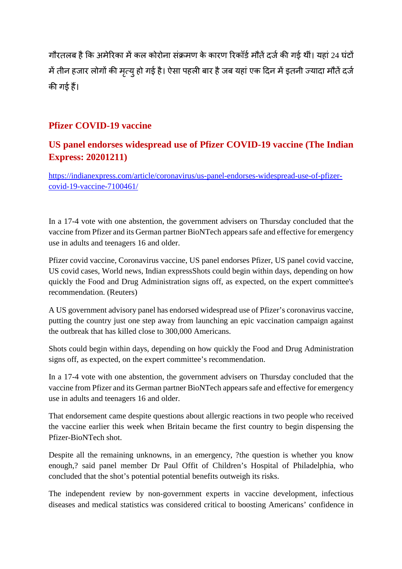गौरतलब है कि अमेरिका में कल कोरोना संक्रमण के कारण रिकॉर्ड मौतें दर्ज की गई थीं। यहां 24 घंटों में तीन हजार लोगों की मृत्यु हो गई है। ऐसा पहली बार है जब यहां एक दिन में इतनी ज्यादा मौतें दर्ज की गई हैं।

#### **Pfizer COVID-19 vaccine**

#### **US panel endorses widespread use of Pfizer COVID-19 vaccine (The Indian Express: 20201211)**

https://indianexpress.com/article/coronavirus/us-panel-endorses-widespread-use-of-pfizercovid-19-vaccine-7100461/

In a 17-4 vote with one abstention, the government advisers on Thursday concluded that the vaccine from Pfizer and its German partner BioNTech appears safe and effective for emergency use in adults and teenagers 16 and older.

Pfizer covid vaccine, Coronavirus vaccine, US panel endorses Pfizer, US panel covid vaccine, US covid cases, World news, Indian expressShots could begin within days, depending on how quickly the Food and Drug Administration signs off, as expected, on the expert committee's recommendation. (Reuters)

A US government advisory panel has endorsed widespread use of Pfizer's coronavirus vaccine, putting the country just one step away from launching an epic vaccination campaign against the outbreak that has killed close to 300,000 Americans.

Shots could begin within days, depending on how quickly the Food and Drug Administration signs off, as expected, on the expert committee's recommendation.

In a 17-4 vote with one abstention, the government advisers on Thursday concluded that the vaccine from Pfizer and its German partner BioNTech appears safe and effective for emergency use in adults and teenagers 16 and older.

That endorsement came despite questions about allergic reactions in two people who received the vaccine earlier this week when Britain became the first country to begin dispensing the Pfizer-BioNTech shot.

Despite all the remaining unknowns, in an emergency, ?the question is whether you know enough,? said panel member Dr Paul Offit of Children's Hospital of Philadelphia, who concluded that the shot's potential potential benefits outweigh its risks.

The independent review by non-government experts in vaccine development, infectious diseases and medical statistics was considered critical to boosting Americans' confidence in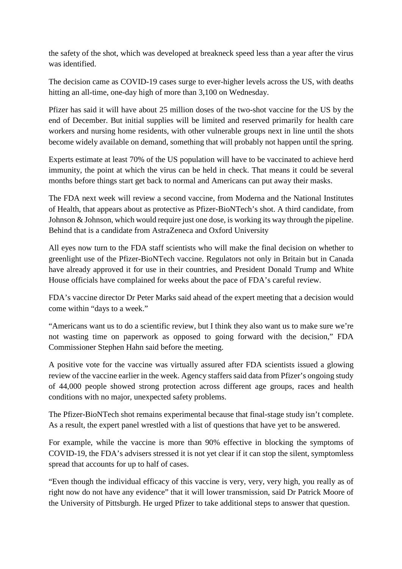the safety of the shot, which was developed at breakneck speed less than a year after the virus was identified.

The decision came as COVID-19 cases surge to ever-higher levels across the US, with deaths hitting an all-time, one-day high of more than 3,100 on Wednesday.

Pfizer has said it will have about 25 million doses of the two-shot vaccine for the US by the end of December. But initial supplies will be limited and reserved primarily for health care workers and nursing home residents, with other vulnerable groups next in line until the shots become widely available on demand, something that will probably not happen until the spring.

Experts estimate at least 70% of the US population will have to be vaccinated to achieve herd immunity, the point at which the virus can be held in check. That means it could be several months before things start get back to normal and Americans can put away their masks.

The FDA next week will review a second vaccine, from Moderna and the National Institutes of Health, that appears about as protective as Pfizer-BioNTech's shot. A third candidate, from Johnson & Johnson, which would require just one dose, is working its way through the pipeline. Behind that is a candidate from AstraZeneca and Oxford University

All eyes now turn to the FDA staff scientists who will make the final decision on whether to greenlight use of the Pfizer-BioNTech vaccine. Regulators not only in Britain but in Canada have already approved it for use in their countries, and President Donald Trump and White House officials have complained for weeks about the pace of FDA's careful review.

FDA's vaccine director Dr Peter Marks said ahead of the expert meeting that a decision would come within "days to a week."

"Americans want us to do a scientific review, but I think they also want us to make sure we're not wasting time on paperwork as opposed to going forward with the decision," FDA Commissioner Stephen Hahn said before the meeting.

A positive vote for the vaccine was virtually assured after FDA scientists issued a glowing review of the vaccine earlier in the week. Agency staffers said data from Pfizer's ongoing study of 44,000 people showed strong protection across different age groups, races and health conditions with no major, unexpected safety problems.

The Pfizer-BioNTech shot remains experimental because that final-stage study isn't complete. As a result, the expert panel wrestled with a list of questions that have yet to be answered.

For example, while the vaccine is more than 90% effective in blocking the symptoms of COVID-19, the FDA's advisers stressed it is not yet clear if it can stop the silent, symptomless spread that accounts for up to half of cases.

"Even though the individual efficacy of this vaccine is very, very, very high, you really as of right now do not have any evidence" that it will lower transmission, said Dr Patrick Moore of the University of Pittsburgh. He urged Pfizer to take additional steps to answer that question.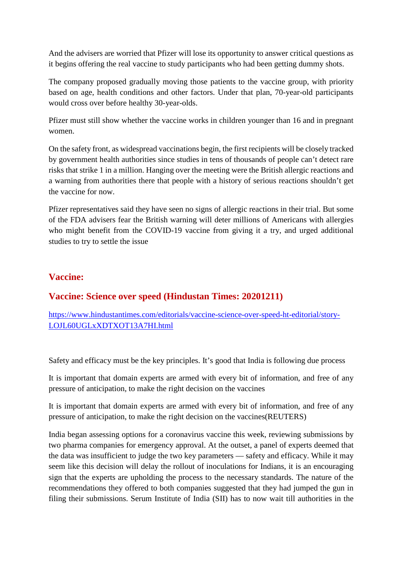And the advisers are worried that Pfizer will lose its opportunity to answer critical questions as it begins offering the real vaccine to study participants who had been getting dummy shots.

The company proposed gradually moving those patients to the vaccine group, with priority based on age, health conditions and other factors. Under that plan, 70-year-old participants would cross over before healthy 30-year-olds.

Pfizer must still show whether the vaccine works in children younger than 16 and in pregnant women.

On the safety front, as widespread vaccinations begin, the first recipients will be closely tracked by government health authorities since studies in tens of thousands of people can't detect rare risks that strike 1 in a million. Hanging over the meeting were the British allergic reactions and a warning from authorities there that people with a history of serious reactions shouldn't get the vaccine for now.

Pfizer representatives said they have seen no signs of allergic reactions in their trial. But some of the FDA advisers fear the British warning will deter millions of Americans with allergies who might benefit from the COVID-19 vaccine from giving it a try, and urged additional studies to try to settle the issue

#### **Vaccine:**

#### **Vaccine: Science over speed (Hindustan Times: 20201211)**

https://www.hindustantimes.com/editorials/vaccine-science-over-speed-ht-editorial/story-LOJL60UGLxXDTXOT13A7HI.html

Safety and efficacy must be the key principles. It's good that India is following due process

It is important that domain experts are armed with every bit of information, and free of any pressure of anticipation, to make the right decision on the vaccines

It is important that domain experts are armed with every bit of information, and free of any pressure of anticipation, to make the right decision on the vaccines(REUTERS)

India began assessing options for a coronavirus vaccine this week, reviewing submissions by two pharma companies for emergency approval. At the outset, a panel of experts deemed that the data was insufficient to judge the two key parameters — safety and efficacy. While it may seem like this decision will delay the rollout of inoculations for Indians, it is an encouraging sign that the experts are upholding the process to the necessary standards. The nature of the recommendations they offered to both companies suggested that they had jumped the gun in filing their submissions. Serum Institute of India (SII) has to now wait till authorities in the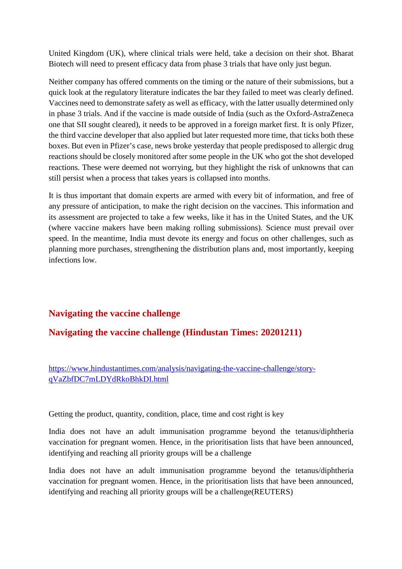United Kingdom (UK), where clinical trials were held, take a decision on their shot. Bharat Biotech will need to present efficacy data from phase 3 trials that have only just begun.

Neither company has offered comments on the timing or the nature of their submissions, but a quick look at the regulatory literature indicates the bar they failed to meet was clearly defined. Vaccines need to demonstrate safety as well as efficacy, with the latter usually determined only in phase 3 trials. And if the vaccine is made outside of India (such as the Oxford-AstraZeneca one that SII sought cleared), it needs to be approved in a foreign market first. It is only Pfizer, the third vaccine developer that also applied but later requested more time, that ticks both these boxes. But even in Pfizer's case, news broke yesterday that people predisposed to allergic drug reactions should be closely monitored after some people in the UK who got the shot developed reactions. These were deemed not worrying, but they highlight the risk of unknowns that can still persist when a process that takes years is collapsed into months.

It is thus important that domain experts are armed with every bit of information, and free of any pressure of anticipation, to make the right decision on the vaccines. This information and its assessment are projected to take a few weeks, like it has in the United States, and the UK (where vaccine makers have been making rolling submissions). Science must prevail over speed. In the meantime, India must devote its energy and focus on other challenges, such as planning more purchases, strengthening the distribution plans and, most importantly, keeping infections low.

#### **Navigating the vaccine challenge**

#### **Navigating the vaccine challenge (Hindustan Times: 20201211)**

https://www.hindustantimes.com/analysis/navigating-the-vaccine-challenge/storyqVaZbfDC7mLDYdRkoBhkDI.html

Getting the product, quantity, condition, place, time and cost right is key

India does not have an adult immunisation programme beyond the tetanus/diphtheria vaccination for pregnant women. Hence, in the prioritisation lists that have been announced, identifying and reaching all priority groups will be a challenge

India does not have an adult immunisation programme beyond the tetanus/diphtheria vaccination for pregnant women. Hence, in the prioritisation lists that have been announced, identifying and reaching all priority groups will be a challenge(REUTERS)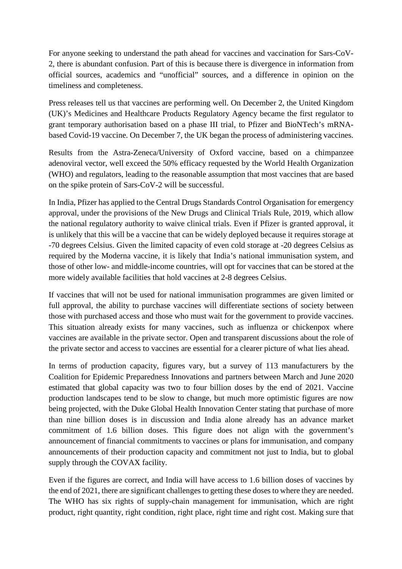For anyone seeking to understand the path ahead for vaccines and vaccination for Sars-CoV-2, there is abundant confusion. Part of this is because there is divergence in information from official sources, academics and "unofficial" sources, and a difference in opinion on the timeliness and completeness.

Press releases tell us that vaccines are performing well. On December 2, the United Kingdom (UK)'s Medicines and Healthcare Products Regulatory Agency became the first regulator to grant temporary authorisation based on a phase III trial, to Pfizer and BioNTech's mRNAbased Covid-19 vaccine. On December 7, the UK began the process of administering vaccines.

Results from the Astra-Zeneca/University of Oxford vaccine, based on a chimpanzee adenoviral vector, well exceed the 50% efficacy requested by the World Health Organization (WHO) and regulators, leading to the reasonable assumption that most vaccines that are based on the spike protein of Sars-CoV-2 will be successful.

In India, Pfizer has applied to the Central Drugs Standards Control Organisation for emergency approval, under the provisions of the New Drugs and Clinical Trials Rule, 2019, which allow the national regulatory authority to waive clinical trials. Even if Pfizer is granted approval, it is unlikely that this will be a vaccine that can be widely deployed because it requires storage at -70 degrees Celsius. Given the limited capacity of even cold storage at -20 degrees Celsius as required by the Moderna vaccine, it is likely that India's national immunisation system, and those of other low- and middle-income countries, will opt for vaccines that can be stored at the more widely available facilities that hold vaccines at 2-8 degrees Celsius.

If vaccines that will not be used for national immunisation programmes are given limited or full approval, the ability to purchase vaccines will differentiate sections of society between those with purchased access and those who must wait for the government to provide vaccines. This situation already exists for many vaccines, such as influenza or chickenpox where vaccines are available in the private sector. Open and transparent discussions about the role of the private sector and access to vaccines are essential for a clearer picture of what lies ahead.

In terms of production capacity, figures vary, but a survey of 113 manufacturers by the Coalition for Epidemic Preparedness Innovations and partners between March and June 2020 estimated that global capacity was two to four billion doses by the end of 2021. Vaccine production landscapes tend to be slow to change, but much more optimistic figures are now being projected, with the Duke Global Health Innovation Center stating that purchase of more than nine billion doses is in discussion and India alone already has an advance market commitment of 1.6 billion doses. This figure does not align with the government's announcement of financial commitments to vaccines or plans for immunisation, and company announcements of their production capacity and commitment not just to India, but to global supply through the COVAX facility.

Even if the figures are correct, and India will have access to 1.6 billion doses of vaccines by the end of 2021, there are significant challenges to getting these doses to where they are needed. The WHO has six rights of supply-chain management for immunisation, which are right product, right quantity, right condition, right place, right time and right cost. Making sure that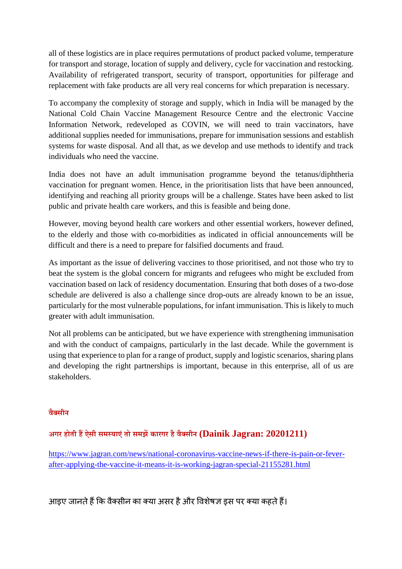all of these logistics are in place requires permutations of product packed volume, temperature for transport and storage, location of supply and delivery, cycle for vaccination and restocking. Availability of refrigerated transport, security of transport, opportunities for pilferage and replacement with fake products are all very real concerns for which preparation is necessary.

To accompany the complexity of storage and supply, which in India will be managed by the National Cold Chain Vaccine Management Resource Centre and the electronic Vaccine Information Network, redeveloped as COVIN, we will need to train vaccinators, have additional supplies needed for immunisations, prepare for immunisation sessions and establish systems for waste disposal. And all that, as we develop and use methods to identify and track individuals who need the vaccine.

India does not have an adult immunisation programme beyond the tetanus/diphtheria vaccination for pregnant women. Hence, in the prioritisation lists that have been announced, identifying and reaching all priority groups will be a challenge. States have been asked to list public and private health care workers, and this is feasible and being done.

However, moving beyond health care workers and other essential workers, however defined, to the elderly and those with co-morbidities as indicated in official announcements will be difficult and there is a need to prepare for falsified documents and fraud.

As important as the issue of delivering vaccines to those prioritised, and not those who try to beat the system is the global concern for migrants and refugees who might be excluded from vaccination based on lack of residency documentation. Ensuring that both doses of a two-dose schedule are delivered is also a challenge since drop-outs are already known to be an issue, particularly for the most vulnerable populations, for infant immunisation. This is likely to much greater with adult immunisation.

Not all problems can be anticipated, but we have experience with strengthening immunisation and with the conduct of campaigns, particularly in the last decade. While the government is using that experience to plan for a range of product, supply and logistic scenarios, sharing plans and developing the right partnerships is important, because in this enterprise, all of us are stakeholders.

#### **वैसीन**

#### **अगर होती हऐसी समयाएंतो समझकारगर हैवैसीन (Dainik Jagran: 20201211)**

https://www.jagran.com/news/national-coronavirus-vaccine-news-if-there-is-pain-or-feverafter-applying-the-vaccine-it-means-it-is-working-jagran-special-21155281.html

आइए जानते हैं कि वैक्सीन का क्या असर है और विशेषज्ञ इस पर क्या कहते हैं।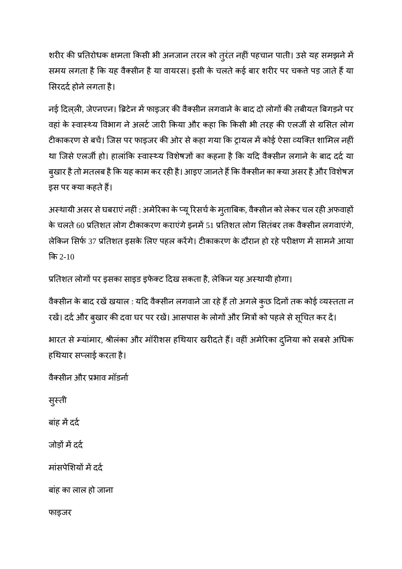शरीर की प्रतिरोधक क्षमता किसी भी अनजान तरल को तुरंत नहीं पहचान पाती। उसे यह समझने में समय लगता है कि यह वैक्सीन है या वायरस। इसी के चलते कई बार शरीर पर चकते पड़ जाते हैं या सिरदर्द होने लगता है।

नई दिल्ली, जेएनएन। ब्रिटेन में फाइजर की वैक्सीन लगवाने के बाद दो लोगों की तबीयत बिगड़ने पर वहां के स्वास्थ्य विभाग ने अलर्ट जारी किया और कहा कि किसी भी तरह की एलजी से ग्रसित लोग टीकाकरण से बचें। जिस पर फाइजर की ओर से कहा गया कि ट्रायल में कोई ऐसा व्यक्ति शामिल नहीं था जिसे एलर्जी हो। हालांकि स्वास्थ्य विशेषज्ञों का कहना है कि यदि वैक्सीन लगाने के बाद दर्द या बुखार है तो मतलब है कि यह काम कर रही है। आइए जानते हैं कि वैक्सीन का क्या असर है और विशेषज्ञ इस पर क्या कहते हैं।

अस्थायी असर से घबराएं नहीं : अमेरिका के प्यू रिसर्च के मुताबिक, वैक्सीन को लेकर चल रही अफवाहों के चलते 60 प्रतिशत लोग टीकाकरण कराएंगे इनमें 51 प्रतिशत लोग सितंबर तक वैक्सीन लगवाएंगे, लेकिन सिर्फ 37 प्रतिशत इसके लिए पहल करेंगे। टीकाकरण के दौरान हो रहे परीक्षण में सामने आया क 2-10

प्रतिशत लोगों पर इसका साइड इफेक्ट दिख सकता है, लेकिन यह अस्थायी होगा।

वैक्सीन के बाद रखें खयाल : यदि वैक्सीन लगवाने जा रहे हैं तो अगले कुछ दिनों तक कोई व्यस्तता न रखें। दर्द और बुखार की दवा घर पर रखें। आसपास के लोगों और मित्रों को पहले से सूचित कर दें।

भारत से म्यांमार, श्रीलंका और मॉरीशस हथियार खरीदते हैं। वहीं अमेरिका दुनिया को सबसे अधिक हथयार सलाई करता है।

वैसीन और भाव मॉडना

सुती

बांह में दर्द

जोड़ों में दर्द

मांसपेशियों में दर्द

बांह का लाल हो जाना

फाइजर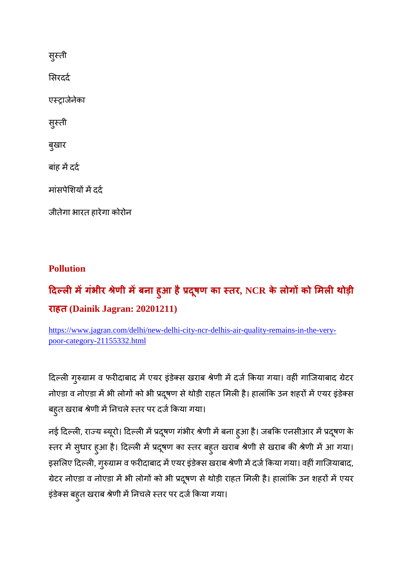सुस्ती

सरदद

एाजेनेका

सुस्ती

बुखार

बांह में दर्द

मांसपेशियों में दर्द

जीतेगा भारत हारेगा कोरोन

#### **Pollution**

### **दलमगंभीर ेणी मबना ह ु आ हैदष ू ण का तर, NCR के लोगको मलथोड़ी राहत (Dainik Jagran: 20201211)**

https://www.jagran.com/delhi/new-delhi-city-ncr-delhis-air-quality-remains-in-the-verypoor-category-21155332.html

दिल्ली गुरुग्राम व फरीदाबाद में एयर इंडेक्स खराब श्रेणी में दर्ज किया गया। वहीं गाजियाबाद ग्रेटर नोएडा व नोएडा में भी लोगों को भी प्रदूषण से थोड़ी राहत मिली है। हालांकि उन शहरों में एयर इंडेक्स बहुत खराब श्रेणी में निचले स्तर पर दर्ज किया गया।

नई दिल्ली, राज्य ब्यूरो। दिल्ली में प्रदूषण गंभीर श्रेणी में बना हुआ है। जबकि एनसीआर में प्रदूषण के स्तर में सुधार हुआ है। दिल्ली में प्रदूषण का स्तर बहुत खराब श्रेणी से खराब की श्रेणी में आ गया। इसलिए दिल्ली, गुरुग्राम व फरीदाबाद में एयर इंडेक्स खराब श्रेणी में दर्ज किया गया। वहीं गाजियाबाद, ग्रेटर नोएडा व नोएडा में भी लोगों को भी प्रदूषण से थोड़ी राहत मिली है। हालांकि उन शहरों में एयर इंडेक्स बहुत खराब श्रेणी में निचले स्तर पर दर्ज किया गया।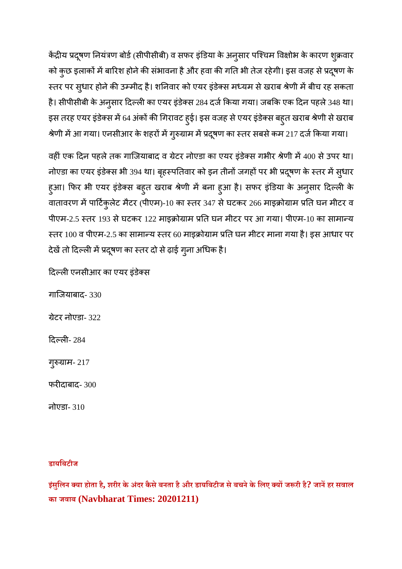केंद्रीय प्रदूषण नियंत्रण बोर्ड (सीपीसीबी) व सफर इंडिया के अनुसार पश्चिम विक्षोभ के कारण शुक्रवार को कुछ इलाकों में बारिश होने की संभावना है और हवा की गति भी तेज रहेगी। इस वजह से प्रदूषण के स्तर पर सुधार होने की उम्मीद है। शनिवार को एयर इंडेक्स मध्यम से खराब श्रेणी में बीच रह सकता है। सीपीसीबी के अनुसार दिल्ली का एयर इंडेक्स 284 दर्ज किया गया। जबकि एक दिन पहले 348 था। इस तरह एयर इंडेक्स में 64 अंकों की गिरावट हुई। इस वजह से एयर इंडेक्स बहुत खराब श्रेणी से खराब श्रेणी में आ गया। एनसीआर के शहरों में गुरुग्राम में प्रदूषण का स्तर सबसे कम 217 दर्ज किया गया।

वहीं एक दिन पहले तक गाजियाबाद व ग्रेटर नोएडा का एयर इंडेक्स गभीर श्रेणी में 400 से उपर था। नोएडा का एयर इंडेक्स भी 394 था। बृहस्पतिवार को इन तीनों जगहों पर भी प्रदूषण के स्तर में सुधार हुआ। फिर भी एयर इंडेक्स बहुत खराब श्रेणी में बना हुआ है। सफर इंडिया के अनुसार दिल्ली के वातावरण में पार्टिकुलेट मैटर (पीएम)-10 का स्तर 347 से घटकर 266 माइक्रोग्राम प्रति घन मीटर व पीएम-2.5 स्तर 193 से घटकर 122 माइक्रोग्राम प्रति घन मीटर पर आ गया। पीएम-10 का सामान्य स्तर 100 व पीएम-2.5 का सामान्य स्तर 60 माइक्रोग्राम प्रति घन मीटर माना गया है। इस आधार पर देखें तो दिल्ली में प्रदूषण का स्तर दो से ढ़ाई गुना अधिक है।

दिल्ली एनसीआर का एयर इंडेक्स

गािजयाबाद- 330

ेटर नोएडा- 322

दिल्ली- 284

गुरुग्राम- 217

फरदाबाद- 300

नोएडा- 310

#### **डायिबटीज**

**इसं िुलन या होता है, शरीर केअंदर कैसेबनता हैऔर डायिबटीज सेबचनेके िलए यजरी है? जानहर सवाल का जवाब (Navbharat Times: 20201211)**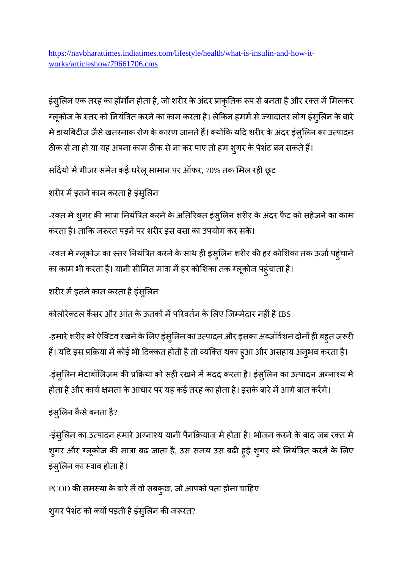https://navbharattimes.indiatimes.com/lifestyle/health/what-is-insulin-and-how-itworks/articleshow/79661706.cms

इंसुलिन एक तरह का हॉर्मोन होता है, जो शरीर के अंदर प्राकृतिक रूप से बनता है और रक्त में मिलकर ग्लूकोज के स्तर को नियंत्रित करने का काम करता है। लेकिन हममें से ज्यादातर लोग इंसुलिन के बारे में डायबिटीज जैसे खतरनाक रोग के कारण जानते हैं। क्योंकि यदि शरीर के अंदर इंस्*लिन का उत्पादन* ठीक से ना हो या यह अपना काम ठीक से ना कर पाए तो हम शूगर के पेशंट बन सकते हैं।

सर्दियों में गीजर समेत कई घरेलू सामान पर ऑफर, 70% तक मिल रही छूट

शरीर में इतने काम करता है इंस्लिन

-रक्त में शुगर की मात्रा नियंत्रित करने के अतिरिक्त इंसुलिन शरीर के अंदर फैट को सहेजने का काम करता है। ताकि जरूरत पड़ने पर शरीर इस वसा का उपयोग कर सके।

-रक्त में ग्लूकोज का स्तर नियंत्रित करने के साथ ही इंसुलिन शरीर की हर कोशिका तक ऊर्जा पहुंचाने का काम भी करता है। यानी सीमित मात्रा में हर कोशिका तक ग्लूकोज पहुंचाता है।

शरीर में इतने काम करता है इंसुलिन

कोलोरेक्टल कैंसर और आंत के ऊतकों में परिवर्तन के लिए जिम्मेदार नहीं है IBS

-हमारे शरीर को ऐक्टिव रखने के लिए इंसुलिन का उत्पादन और इसका अब्जॉर्वशन दोनों ही बहुत जरूरी हैं। यदि इस प्रक्रिया में कोई भी दिक्कत होती है तो व्यक्ति थका हुआ और असहाय अनुभव करता है।

-इंसुलिन मेटाबॉलिज़म की प्रक्रिया को सही रखने में मदद करता है। इंसुलिन का उत्पादन अग्नाश्य में होता है और कार्य क्षमता के आधार पर यह कई तरह का होता है। इसके बारे में आगे बात करेंगे।

इंसुलन कैसेबनता है?

-इंस्लिन का उत्पादन हमारे अग्नाश्य यानी पैनक्रियाज में होता है। भोजन करने के बाद जब रक्त में शुगर और ग्लूकोज की मात्रा बढ़ जाता है, उस समय उस बढ़ी हुई शुगर को नियंत्रित करने के लिए इंस्लिन का स्त्राव होता है।

PCOD की समस्या के बारे में वो सबकुछ, जो आपको पता होना चाहिए

शुगर पेशंट को क्यों पड़ती है इंसुलिन की जरूरत?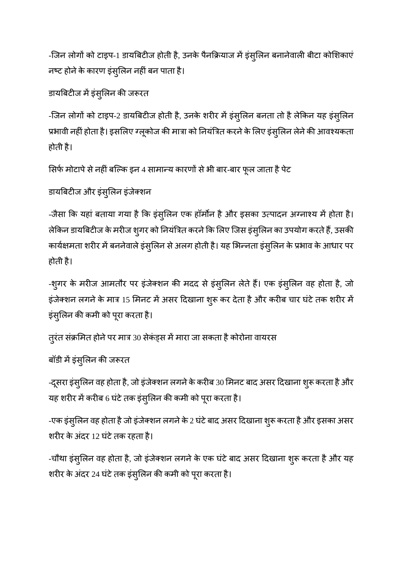-जिन लोगों को टाइप-1 डायबिटीज होती है, उनके पैनक्रियाज में इंस्लिन बनानेवाली बीटा कोशिकाएं नष्ट होने के कारण इंस्लिन नहीं बन पाता है।

डायबिटीज में इंसुलिन की जरूरत

-जिन लोगों को टाइप-2 डायबिटीज होती है, उनके शरीर में इंसुलिन बनता तो है लेकिन यह इंसुलिन प्रभावी नहीं होता है। इसलिए ग्लूकोज की मात्रा को नियंत्रित करने के लिए इंसुलिन लेने की आवश्यकता होती है।

सिर्फ मोटापे से नहीं बल्कि इन 4 सामान्य कारणों से भी बार-बार फूल जाता है पेट

डायबिटीज और इंसुलिन इंजेक्शन

-जैसा कि यहां बताया गया है कि इंसुलिन एक हॉर्मोन है और इसका उत्पादन अग्नाश्य में होता है। लेकिन डायबिटीज के मरीज शुगर को नियंत्रित करने कि लिए जिस इंसुलिन का उपयोग करते हैं, उसकी कार्यक्षमता शरीर में बननेवाले इंसुलिन से अलग होती है। यह भिन्नता इंसुलिन के प्रभाव के आधार पर होती है।

-शुगर के मरीज आमतौर पर इंजेक्शन की मदद से इंसुलिन लेते हैं। एक इंसुलिन वह होता है, जो इंजेक्शन लगने के मात्र 15 मिनट में असर दिखाना शुरू कर देता है और करीब चार घंटे तक शरीर में इंसुलिन की कमी को पूरा करता है।

तूरंत संक्रमित होने पर मात्र 30 सेकंड्स में मारा जा सकता है कोरोना वायरस

बॉडी में इंसुलिन की जरूरत

-दूसरा इंसुलिन वह होता है, जो इंजेक्शन लगने के करीब 30 मिनट बाद असर दिखाना शुरू करता है और यह शरीर में करीब 6 घंटे तक इंसुलिन की कमी को पूरा करता है।

-एक इंस्लिन वह होता है जो इंजेक्शन लगने के 2 घंटे बाद असर दिखाना शुरू करता है और इसका असर शरीर के अंदर 12 घंटे तक रहता है।

-चौथा इंसुलिन वह होता है, जो इंजेक्शन लगने के एक घंटे बाद असर दिखाना शुरू करता है और यह शरीर के अंदर 24 घंटे तक इंसुलिन की कमी को पूरा करता है।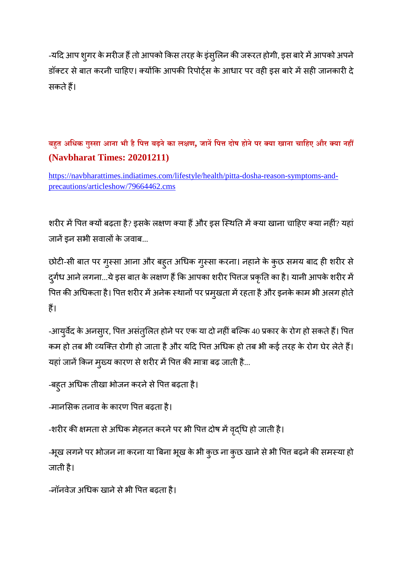-यदि आप श्गर के मरीज हैं तो आपको किस तरह के इंसुलिन की जरूरत होगी, इस बारे में आपको अपने डॉक्टर से बात करनी चाहिए। क्योंकि आपकी रिपोर्टस के आधार पर वही इस बारे में सही जानकारी दे सकतेह।

#### **बहत अिधक गुसा आना भी हैिपबढ़नेका लण, जानिपदोष होनेपर या खाना चािहए और या नह (Navbharat Times: 20201211)**

https://navbharattimes.indiatimes.com/lifestyle/health/pitta-dosha-reason-symptoms-andprecautions/articleshow/79664462.cms

शरीर में पित्त क्यों बढ़ता है? इसके लक्षण क्या हैं और इस स्थिति में क्या खाना चाहिए क्या नहीं? यहां जानें इन सभी सवालों के जवाब...

छोटी-सी बात पर गुस्सा आना और बहुत अधिक गुस्सा करना। नहाने के कुछ समय बाद ही शरीर से दुर्गंध आने लगना...ये इस बात के लक्षण हैं कि आपका शरीर पित्तज प्रकृति का है। यानी आपके शरीर में पित्त की अधिकता है। पित्त शरीर में अनेक स्थानों पर प्रमुखता में रहता है और इनके काम भी अलग होते ह।

-आयुर्वेद के अनसार, पित्त असंतुलित होने पर एक या दो नहीं बल्कि 40 प्रकार के रोग हो सकते हैं। पित्त कम हो तब भी व्यक्ति रोगी हो जाता है और यदि पित अधिक हो तब भी कई तरह के रोग घेर लेते हैं। यहां जानें किन मुख्य कारण से शरीर में पित की मात्रा बढ़ जाती है...

```
-बहुत अधिक तीखा भोजन करने से पित्त बढ़ता है।
```

```
-मानसिक तनाव के कारण पित्त बढ़ता है।
```
-शरीर की क्षमता से अधिक मेहनत करने पर भी पित्त दोष में वृद्धि हो जाती है।

-भूख लगने पर भोजन ना करना या बिना भूख के भी कुछ ना कुछ खाने से भी पित्त बढ़ने की समस्या हो जाती है।

```
-नॉनवेज अधिक खाने से भी पित्त बढ़ता है।
```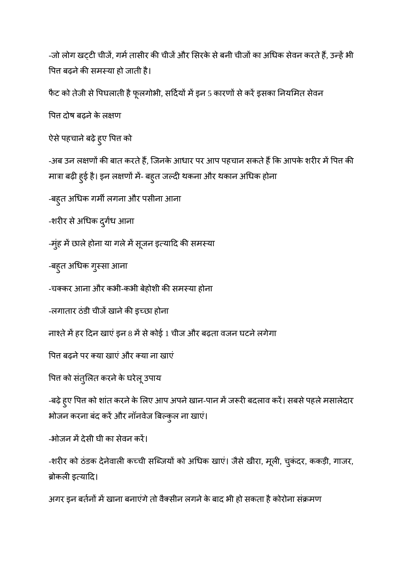-जो लोग खटटी चीजें, गर्म तासीर की चीजें और सिरके से बनी चीजों का अधिक सेवन करते हैं, उन्हें भी पित्त बढ़ने की समस्या हो जाती है।

फैट को तेजी से पिघलाती है फूलगोभी, सर्दियों में इन 5 कारणों से करें इसका नियमित सेवन

पित दोष बढ़ने के लक्षण

ऐसे पहचाने बढ़े हुए पित्त क<mark>ो</mark>

-अब उन लक्षणों की बात करते हैं, जिनके आधार पर आप पहचान सकते हैं कि आपके शरीर में पित्त की मात्रा बढ़ी हुई है। इन लक्षणों में- बहुत जल्दी थकना और थकान अधिक होना

-बह्त अधिक गर्मी लगना और पसीना आना

-शरीर से अधिक दुर्गंध आना

-मुंह में छाले होना या गले में सूजन इत्यादि की समस्या

-बहुत अधिक गुस्सा आना

-चक्कर आना और कभी-कभी बेहोशी की समस्या होना

-लगातार ठंडी चीजें खाने की इच्छा होना

नाश्ते में हर दिन खाएं इन 8 में से कोई 1 चीज और बढ़ता वजन घटने लगेगा

पित्त बढ़ने पर क्या खाएं और क्या ना खाएं

पित्त को संतुलित करने के घरेलू उपाय

-बढ़े हुए पित्त को शांत करने के लिए आप अपने खान-पान में जरूरी बदलाव करें। सबसे पहले मसालेदार भोजन करना बंद करें और नॉनवेज बिल्कुल ना खाएं।

-भोजन में देसी घी का सेवन करें।

-शरीर को ठंडक देनेवाली कच्ची सब्जियों को अधिक खाएं। जैसे खीरा, मूली, चुकंदर, ककड़ी, गाजर, ब्रोकली इत्यादि।

अगर इन बर्तनों में खाना बनाएंगे तो वैक्सीन लगने के बाद भी हो सकता है कोरोना संक्रमण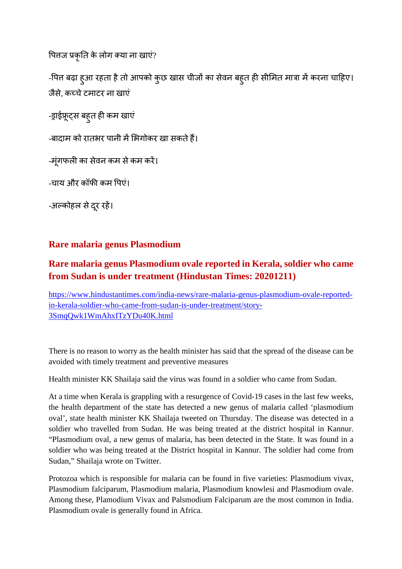पितज प्रकृति के लोग क्या ना खाएं?

-पित्त बढ़ा हुआ रहता है तो आपको कुछ खास चीजों का सेवन बहुत ही सीमित मात्रा में करना चाहिए। जैसे, कचेटमाटर ना खाएं

-ड्राईफ्रूट्स बहुत ही कम खाएं

-बादाम को रातभर पानी में भिगोकर खा सकते हैं।

-मूंगफली का सेवन कम से कम करें।

-चाय और कॉफी कम पिएं।

-अल्कोहल से दूर रहें।

#### **Rare malaria genus Plasmodium**

#### **Rare malaria genus Plasmodium ovale reported in Kerala, soldier who came from Sudan is under treatment (Hindustan Times: 20201211)**

https://www.hindustantimes.com/india-news/rare-malaria-genus-plasmodium-ovale-reportedin-kerala-soldier-who-came-from-sudan-is-under-treatment/story-3SmqQwk1WmAhxITzYDu40K.html

There is no reason to worry as the health minister has said that the spread of the disease can be avoided with timely treatment and preventive measures

Health minister KK Shailaja said the virus was found in a soldier who came from Sudan.

At a time when Kerala is grappling with a resurgence of Covid-19 cases in the last few weeks, the health department of the state has detected a new genus of malaria called 'plasmodium oval', state health minister KK Shailaja tweeted on Thursday. The disease was detected in a soldier who travelled from Sudan. He was being treated at the district hospital in Kannur. "Plasmodium oval, a new genus of malaria, has been detected in the State. It was found in a soldier who was being treated at the District hospital in Kannur. The soldier had come from Sudan," Shailaja wrote on Twitter.

Protozoa which is responsible for malaria can be found in five varieties: Plasmodium vivax, Plasmodium falciparum, Plasmodium malaria, Plasmodium knowlesi and Plasmodium ovale. Among these, Plamodium Vivax and Palsmodium Falciparum are the most common in India. Plasmodium ovale is generally found in Africa.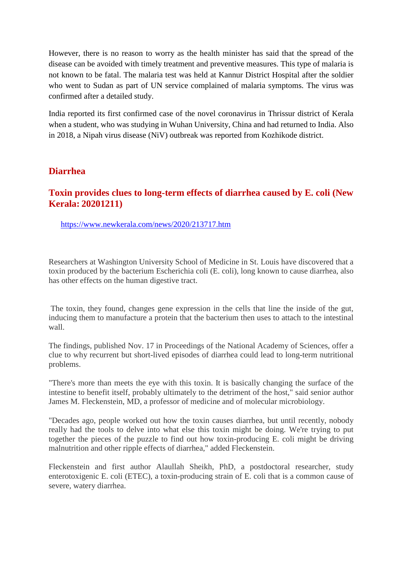However, there is no reason to worry as the health minister has said that the spread of the disease can be avoided with timely treatment and preventive measures. This type of malaria is not known to be fatal. The malaria test was held at Kannur District Hospital after the soldier who went to Sudan as part of UN service complained of malaria symptoms. The virus was confirmed after a detailed study.

India reported its first confirmed case of the novel coronavirus in Thrissur district of Kerala when a student, who was studying in Wuhan University, China and had returned to India. Also in 2018, a Nipah virus disease (NiV) outbreak was reported from Kozhikode district.

#### **Diarrhea**

#### **Toxin provides clues to long-term effects of diarrhea caused by E. coli (New Kerala: 20201211)**

https://www.newkerala.com/news/2020/213717.htm

Researchers at Washington University School of Medicine in St. Louis have discovered that a toxin produced by the bacterium Escherichia coli (E. coli), long known to cause diarrhea, also has other effects on the human digestive tract.

The toxin, they found, changes gene expression in the cells that line the inside of the gut, inducing them to manufacture a protein that the bacterium then uses to attach to the intestinal wall.

The findings, published Nov. 17 in Proceedings of the National Academy of Sciences, offer a clue to why recurrent but short-lived episodes of diarrhea could lead to long-term nutritional problems.

"There's more than meets the eye with this toxin. It is basically changing the surface of the intestine to benefit itself, probably ultimately to the detriment of the host," said senior author James M. Fleckenstein, MD, a professor of medicine and of molecular microbiology.

"Decades ago, people worked out how the toxin causes diarrhea, but until recently, nobody really had the tools to delve into what else this toxin might be doing. We're trying to put together the pieces of the puzzle to find out how toxin-producing E. coli might be driving malnutrition and other ripple effects of diarrhea," added Fleckenstein.

Fleckenstein and first author Alaullah Sheikh, PhD, a postdoctoral researcher, study enterotoxigenic E. coli (ETEC), a toxin-producing strain of E. coli that is a common cause of severe, watery diarrhea.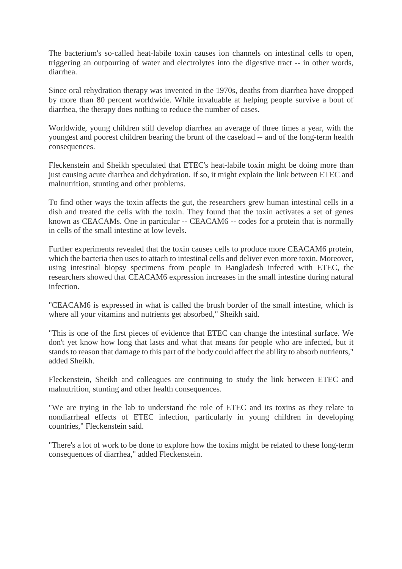The bacterium's so-called heat-labile toxin causes ion channels on intestinal cells to open, triggering an outpouring of water and electrolytes into the digestive tract -- in other words, diarrhea.

Since oral rehydration therapy was invented in the 1970s, deaths from diarrhea have dropped by more than 80 percent worldwide. While invaluable at helping people survive a bout of diarrhea, the therapy does nothing to reduce the number of cases.

Worldwide, young children still develop diarrhea an average of three times a year, with the youngest and poorest children bearing the brunt of the caseload -- and of the long-term health consequences.

Fleckenstein and Sheikh speculated that ETEC's heat-labile toxin might be doing more than just causing acute diarrhea and dehydration. If so, it might explain the link between ETEC and malnutrition, stunting and other problems.

To find other ways the toxin affects the gut, the researchers grew human intestinal cells in a dish and treated the cells with the toxin. They found that the toxin activates a set of genes known as CEACAMs. One in particular -- CEACAM6 -- codes for a protein that is normally in cells of the small intestine at low levels.

Further experiments revealed that the toxin causes cells to produce more CEACAM6 protein, which the bacteria then uses to attach to intestinal cells and deliver even more toxin. Moreover, using intestinal biopsy specimens from people in Bangladesh infected with ETEC, the researchers showed that CEACAM6 expression increases in the small intestine during natural infection.

"CEACAM6 is expressed in what is called the brush border of the small intestine, which is where all your vitamins and nutrients get absorbed," Sheikh said.

"This is one of the first pieces of evidence that ETEC can change the intestinal surface. We don't yet know how long that lasts and what that means for people who are infected, but it stands to reason that damage to this part of the body could affect the ability to absorb nutrients," added Sheikh.

Fleckenstein, Sheikh and colleagues are continuing to study the link between ETEC and malnutrition, stunting and other health consequences.

"We are trying in the lab to understand the role of ETEC and its toxins as they relate to nondiarrheal effects of ETEC infection, particularly in young children in developing countries," Fleckenstein said.

"There's a lot of work to be done to explore how the toxins might be related to these long-term consequences of diarrhea," added Fleckenstein.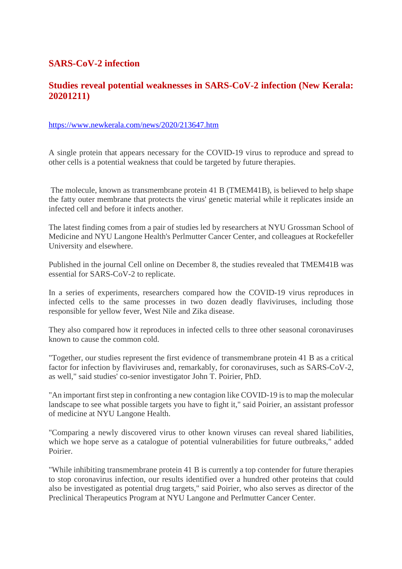#### **SARS-CoV-2 infection**

#### **Studies reveal potential weaknesses in SARS-CoV-2 infection (New Kerala: 20201211)**

#### https://www.newkerala.com/news/2020/213647.htm

A single protein that appears necessary for the COVID-19 virus to reproduce and spread to other cells is a potential weakness that could be targeted by future therapies.

The molecule, known as transmembrane protein 41 B (TMEM41B), is believed to help shape the fatty outer membrane that protects the virus' genetic material while it replicates inside an infected cell and before it infects another.

The latest finding comes from a pair of studies led by researchers at NYU Grossman School of Medicine and NYU Langone Health's Perlmutter Cancer Center, and colleagues at Rockefeller University and elsewhere.

Published in the journal Cell online on December 8, the studies revealed that TMEM41B was essential for SARS-CoV-2 to replicate.

In a series of experiments, researchers compared how the COVID-19 virus reproduces in infected cells to the same processes in two dozen deadly flaviviruses, including those responsible for yellow fever, West Nile and Zika disease.

They also compared how it reproduces in infected cells to three other seasonal coronaviruses known to cause the common cold.

"Together, our studies represent the first evidence of transmembrane protein 41 B as a critical factor for infection by flaviviruses and, remarkably, for coronaviruses, such as SARS-CoV-2, as well," said studies' co-senior investigator John T. Poirier, PhD.

"An important first step in confronting a new contagion like COVID-19 is to map the molecular landscape to see what possible targets you have to fight it," said Poirier, an assistant professor of medicine at NYU Langone Health.

"Comparing a newly discovered virus to other known viruses can reveal shared liabilities, which we hope serve as a catalogue of potential vulnerabilities for future outbreaks," added Poirier.

"While inhibiting transmembrane protein 41 B is currently a top contender for future therapies to stop coronavirus infection, our results identified over a hundred other proteins that could also be investigated as potential drug targets," said Poirier, who also serves as director of the Preclinical Therapeutics Program at NYU Langone and Perlmutter Cancer Center.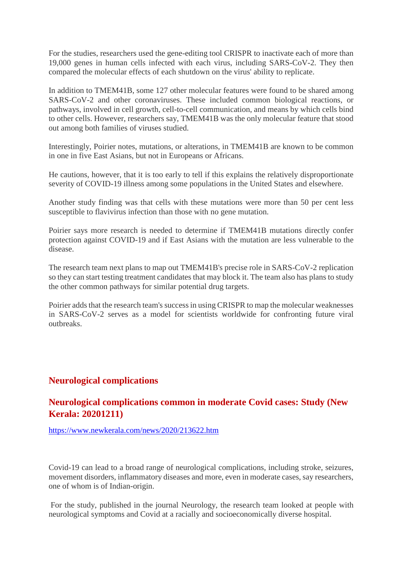For the studies, researchers used the gene-editing tool CRISPR to inactivate each of more than 19,000 genes in human cells infected with each virus, including SARS-CoV-2. They then compared the molecular effects of each shutdown on the virus' ability to replicate.

In addition to TMEM41B, some 127 other molecular features were found to be shared among SARS-CoV-2 and other coronaviruses. These included common biological reactions, or pathways, involved in cell growth, cell-to-cell communication, and means by which cells bind to other cells. However, researchers say, TMEM41B was the only molecular feature that stood out among both families of viruses studied.

Interestingly, Poirier notes, mutations, or alterations, in TMEM41B are known to be common in one in five East Asians, but not in Europeans or Africans.

He cautions, however, that it is too early to tell if this explains the relatively disproportionate severity of COVID-19 illness among some populations in the United States and elsewhere.

Another study finding was that cells with these mutations were more than 50 per cent less susceptible to flavivirus infection than those with no gene mutation.

Poirier says more research is needed to determine if TMEM41B mutations directly confer protection against COVID-19 and if East Asians with the mutation are less vulnerable to the disease.

The research team next plans to map out TMEM41B's precise role in SARS-CoV-2 replication so they can start testing treatment candidates that may block it. The team also has plans to study the other common pathways for similar potential drug targets.

Poirier adds that the research team's success in using CRISPR to map the molecular weaknesses in SARS-CoV-2 serves as a model for scientists worldwide for confronting future viral outbreaks.

#### **Neurological complications**

#### **Neurological complications common in moderate Covid cases: Study (New Kerala: 20201211)**

https://www.newkerala.com/news/2020/213622.htm

Covid-19 can lead to a broad range of neurological complications, including stroke, seizures, movement disorders, inflammatory diseases and more, even in moderate cases, say researchers, one of whom is of Indian-origin.

For the study, published in the journal Neurology, the research team looked at people with neurological symptoms and Covid at a racially and socioeconomically diverse hospital.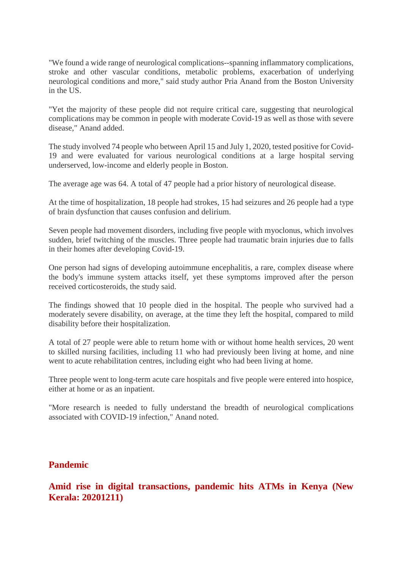"We found a wide range of neurological complications--spanning inflammatory complications, stroke and other vascular conditions, metabolic problems, exacerbation of underlying neurological conditions and more," said study author Pria Anand from the Boston University in the US.

"Yet the majority of these people did not require critical care, suggesting that neurological complications may be common in people with moderate Covid-19 as well as those with severe disease," Anand added.

The study involved 74 people who between April 15 and July 1, 2020, tested positive for Covid-19 and were evaluated for various neurological conditions at a large hospital serving underserved, low-income and elderly people in Boston.

The average age was 64. A total of 47 people had a prior history of neurological disease.

At the time of hospitalization, 18 people had strokes, 15 had seizures and 26 people had a type of brain dysfunction that causes confusion and delirium.

Seven people had movement disorders, including five people with myoclonus, which involves sudden, brief twitching of the muscles. Three people had traumatic brain injuries due to falls in their homes after developing Covid-19.

One person had signs of developing autoimmune encephalitis, a rare, complex disease where the body's immune system attacks itself, yet these symptoms improved after the person received corticosteroids, the study said.

The findings showed that 10 people died in the hospital. The people who survived had a moderately severe disability, on average, at the time they left the hospital, compared to mild disability before their hospitalization.

A total of 27 people were able to return home with or without home health services, 20 went to skilled nursing facilities, including 11 who had previously been living at home, and nine went to acute rehabilitation centres, including eight who had been living at home.

Three people went to long-term acute care hospitals and five people were entered into hospice, either at home or as an inpatient.

"More research is needed to fully understand the breadth of neurological complications associated with COVID-19 infection," Anand noted.

#### **Pandemic**

**Amid rise in digital transactions, pandemic hits ATMs in Kenya (New Kerala: 20201211)**